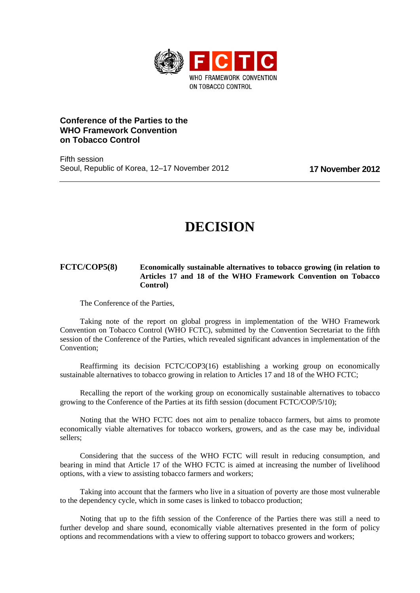

## **Conference of the Parties to the WHO Framework Convention on Tobacco Control**

Fifth session Seoul, Republic of Korea, 12–17 November 2012 **17 November 2012**

## **DECISION**

## **FCTC/COP5(8) Economically sustainable alternatives to tobacco growing (in relation to Articles 17 and 18 of the WHO Framework Convention on Tobacco Control)**

The Conference of the Parties,

Taking note of the report on global progress in implementation of the WHO Framework Convention on Tobacco Control (WHO FCTC), submitted by the Convention Secretariat to the fifth session of the Conference of the Parties, which revealed significant advances in implementation of the Convention;

Reaffirming its decision FCTC/COP3(16) establishing a working group on economically sustainable alternatives to tobacco growing in relation to Articles 17 and 18 of the WHO FCTC;

Recalling the report of the working group on economically sustainable alternatives to tobacco growing to the Conference of the Parties at its fifth session (document FCTC/COP/5/10);

Noting that the WHO FCTC does not aim to penalize tobacco farmers, but aims to promote economically viable alternatives for tobacco workers, growers, and as the case may be, individual sellers;

Considering that the success of the WHO FCTC will result in reducing consumption, and bearing in mind that Article 17 of the WHO FCTC is aimed at increasing the number of livelihood options, with a view to assisting tobacco farmers and workers;

Taking into account that the farmers who live in a situation of poverty are those most vulnerable to the dependency cycle, which in some cases is linked to tobacco production;

Noting that up to the fifth session of the Conference of the Parties there was still a need to further develop and share sound, economically viable alternatives presented in the form of policy options and recommendations with a view to offering support to tobacco growers and workers;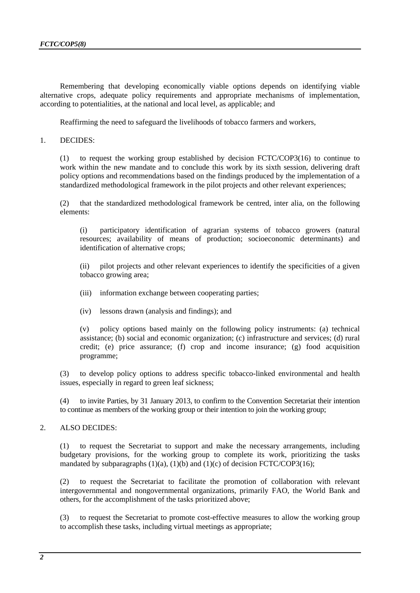Remembering that developing economically viable options depends on identifying viable alternative crops, adequate policy requirements and appropriate mechanisms of implementation, according to potentialities, at the national and local level, as applicable; and

Reaffirming the need to safeguard the livelihoods of tobacco farmers and workers,

1. DECIDES:

(1) to request the working group established by decision FCTC/COP3(16) to continue to work within the new mandate and to conclude this work by its sixth session, delivering draft policy options and recommendations based on the findings produced by the implementation of a standardized methodological framework in the pilot projects and other relevant experiences;

(2) that the standardized methodological framework be centred, inter alia, on the following elements:

(i) participatory identification of agrarian systems of tobacco growers (natural resources; availability of means of production; socioeconomic determinants) and identification of alternative crops;

(ii) pilot projects and other relevant experiences to identify the specificities of a given tobacco growing area;

- (iii) information exchange between cooperating parties;
- (iv) lessons drawn (analysis and findings); and

(v) policy options based mainly on the following policy instruments: (a) technical assistance; (b) social and economic organization; (c) infrastructure and services; (d) rural credit; (e) price assurance; (f) crop and income insurance; (g) food acquisition programme;

(3) to develop policy options to address specific tobacco-linked environmental and health issues, especially in regard to green leaf sickness;

(4) to invite Parties, by 31 January 2013, to confirm to the Convention Secretariat their intention to continue as members of the working group or their intention to join the working group;

## 2. ALSO DECIDES:

(1) to request the Secretariat to support and make the necessary arrangements, including budgetary provisions, for the working group to complete its work, prioritizing the tasks mandated by subparagraphs  $(1)(a)$ ,  $(1)(b)$  and  $(1)(c)$  of decision FCTC/COP3(16);

(2) to request the Secretariat to facilitate the promotion of collaboration with relevant intergovernmental and nongovernmental organizations, primarily FAO, the World Bank and others, for the accomplishment of the tasks prioritized above;

(3) to request the Secretariat to promote cost-effective measures to allow the working group to accomplish these tasks, including virtual meetings as appropriate;